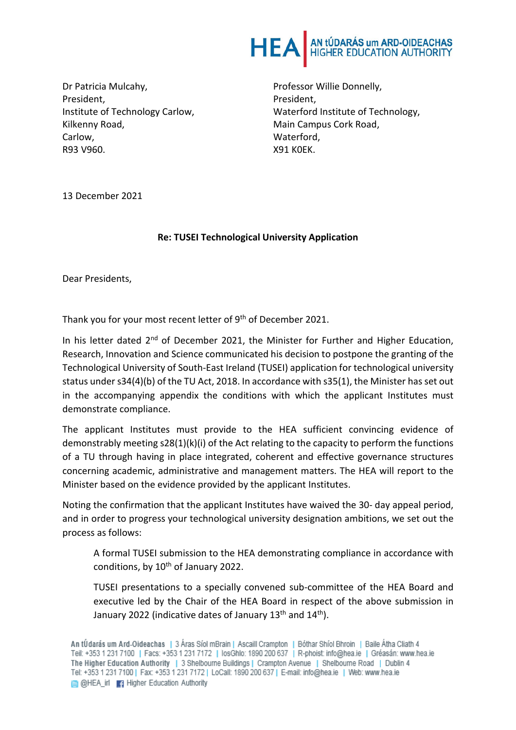

Dr Patricia Mulcahy, President, Institute of Technology Carlow, Kilkenny Road, Carlow, R93 V960.

Professor Willie Donnelly, President, Waterford Institute of Technology, Main Campus Cork Road, Waterford, X91 K0EK.

13 December 2021

## **Re: TUSEI Technological University Application**

Dear Presidents,

Thank you for your most recent letter of 9<sup>th</sup> of December 2021.

In his letter dated 2<sup>nd</sup> of December 2021, the Minister for Further and Higher Education, Research, Innovation and Science communicated his decision to postpone the granting of the Technological University of South-East Ireland (TUSEI) application for technological university status under s34(4)(b) of the TU Act, 2018. In accordance with s35(1), the Minister has set out in the accompanying appendix the conditions with which the applicant Institutes must demonstrate compliance.

The applicant Institutes must provide to the HEA sufficient convincing evidence of demonstrably meeting  $s28(1)(k)(i)$  of the Act relating to the capacity to perform the functions of a TU through having in place integrated, coherent and effective governance structures concerning academic, administrative and management matters. The HEA will report to the Minister based on the evidence provided by the applicant Institutes.

Noting the confirmation that the applicant Institutes have waived the 30- day appeal period, and in order to progress your technological university designation ambitions, we set out the process as follows:

A formal TUSEI submission to the HEA demonstrating compliance in accordance with conditions, by  $10^{th}$  of January 2022.

TUSEI presentations to a specially convened sub-committee of the HEA Board and executive led by the Chair of the HEA Board in respect of the above submission in January 2022 (indicative dates of January 13<sup>th</sup> and 14<sup>th</sup>).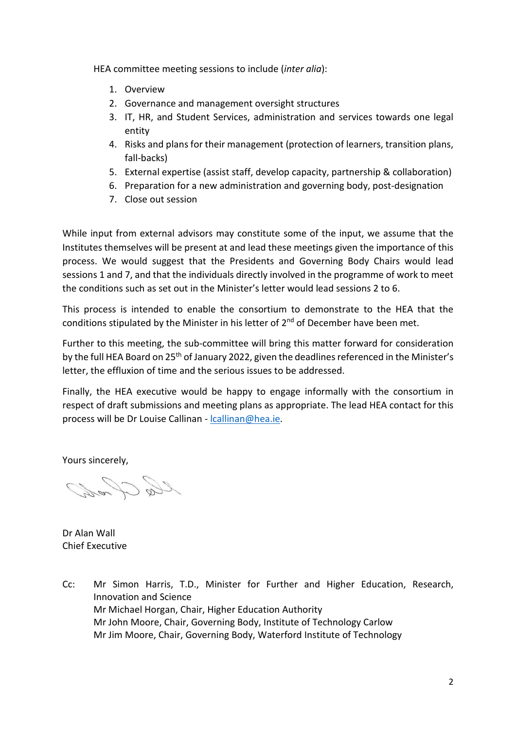HEA committee meeting sessions to include (*inter alia*):

- 1. Overview
- 2. Governance and management oversight structures
- 3. IT, HR, and Student Services, administration and services towards one legal entity
- 4. Risks and plans for their management (protection of learners, transition plans, fall-backs)
- 5. External expertise (assist staff, develop capacity, partnership & collaboration)
- 6. Preparation for a new administration and governing body, post-designation
- 7. Close out session

While input from external advisors may constitute some of the input, we assume that the Institutes themselves will be present at and lead these meetings given the importance of this process. We would suggest that the Presidents and Governing Body Chairs would lead sessions 1 and 7, and that the individuals directly involved in the programme of work to meet the conditions such as set out in the Minister's letter would lead sessions 2 to 6.

This process is intended to enable the consortium to demonstrate to the HEA that the conditions stipulated by the Minister in his letter of 2<sup>nd</sup> of December have been met.

Further to this meeting, the sub-committee will bring this matter forward for consideration by the full HEA Board on 25<sup>th</sup> of January 2022, given the deadlines referenced in the Minister's letter, the effluxion of time and the serious issues to be addressed.

Finally, the HEA executive would be happy to engage informally with the consortium in respect of draft submissions and meeting plans as appropriate. The lead HEA contact for this process will be Dr Louise Callinan - lcallinan@hea.ie.

Yours sincerely,

lle And

Dr Alan Wall Chief Executive

Cc: Mr Simon Harris, T.D., Minister for Further and Higher Education, Research, Innovation and Science Mr Michael Horgan, Chair, Higher Education Authority Mr John Moore, Chair, Governing Body, Institute of Technology Carlow Mr Jim Moore, Chair, Governing Body, Waterford Institute of Technology